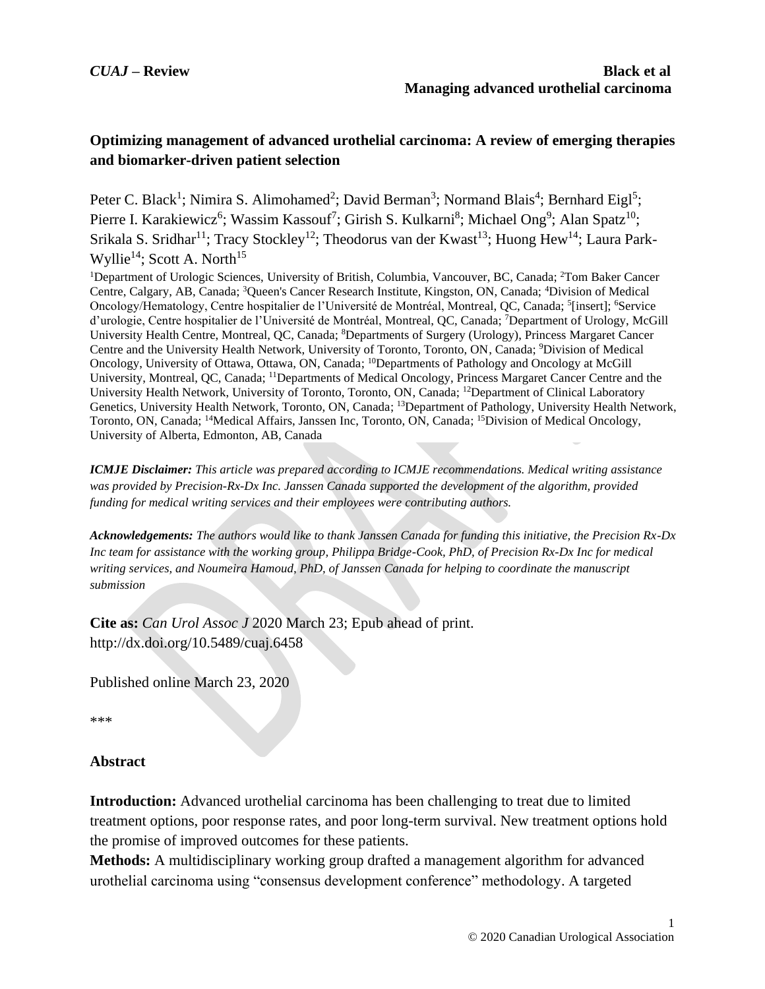# **Optimizing management of advanced urothelial carcinoma: A review of emerging therapies and biomarker-driven patient selection**

Peter C. Black<sup>1</sup>; Nimira S. Alimohamed<sup>2</sup>; David Berman<sup>3</sup>; Normand Blais<sup>4</sup>; Bernhard Eigl<sup>5</sup>; Pierre I. Karakiewicz<sup>6</sup>; Wassim Kassouf<sup>7</sup>; Girish S. Kulkarni<sup>8</sup>; Michael Ong<sup>9</sup>; Alan Spatz<sup>10</sup>; Srikala S. Sridhar<sup>11</sup>; Tracy Stockley<sup>12</sup>; Theodorus van der Kwast<sup>13</sup>; Huong Hew<sup>14</sup>; Laura Park-Wyllie<sup>14</sup>; Scott A. North<sup>15</sup>

<sup>1</sup>Department of Urologic Sciences, University of British, Columbia, Vancouver, BC, Canada; <sup>2</sup>Tom Baker Cancer Centre, Calgary, AB, Canada; <sup>3</sup>Queen's Cancer Research Institute, Kingston, ON, Canada; <sup>4</sup>Division of Medical Oncology/Hematology, Centre hospitalier de l'Université de Montréal, Montreal, QC, Canada; <sup>5</sup>[insert]; <sup>6</sup>Service d'urologie, Centre hospitalier de l'Université de Montréal, Montreal, QC, Canada; <sup>7</sup>Department of Urology, McGill University Health Centre, Montreal, QC, Canada; <sup>8</sup>Departments of Surgery (Urology), Princess Margaret Cancer Centre and the University Health Network, University of Toronto, Toronto, ON, Canada; <sup>9</sup>Division of Medical Oncology, University of Ottawa, Ottawa, ON, Canada; <sup>10</sup>Departments of Pathology and Oncology at McGill University, Montreal, QC, Canada; <sup>11</sup>Departments of Medical Oncology, Princess Margaret Cancer Centre and the University Health Network, University of Toronto, Toronto, ON, Canada; <sup>12</sup>Department of Clinical Laboratory Genetics, University Health Network, Toronto, ON, Canada; <sup>13</sup>Department of Pathology, University Health Network, Toronto, ON, Canada; <sup>14</sup>Medical Affairs, Janssen Inc, Toronto, ON, Canada; <sup>15</sup>Division of Medical Oncology, University of Alberta, Edmonton, AB, Canada

*ICMJE Disclaimer: This article was prepared according to ICMJE recommendations. Medical writing assistance was provided by Precision-Rx-Dx Inc. Janssen Canada supported the development of the algorithm, provided funding for medical writing services and their employees were contributing authors.* 

*Acknowledgements: The authors would like to thank Janssen Canada for funding this initiative, the Precision Rx-Dx Inc team for assistance with the working group, Philippa Bridge-Cook, PhD, of Precision Rx-Dx Inc for medical writing services, and Noumeira Hamoud, PhD, of Janssen Canada for helping to coordinate the manuscript submission*

**Cite as:** *Can Urol Assoc J* 2020 March 23; Epub ahead of print. http://dx.doi.org/10.5489/cuaj.6458

Published online March 23, 2020

\*\*\*

#### **Abstract**

**Introduction:** Advanced urothelial carcinoma has been challenging to treat due to limited treatment options, poor response rates, and poor long-term survival. New treatment options hold the promise of improved outcomes for these patients.

**Methods:** A multidisciplinary working group drafted a management algorithm for advanced urothelial carcinoma using "consensus development conference" methodology. A targeted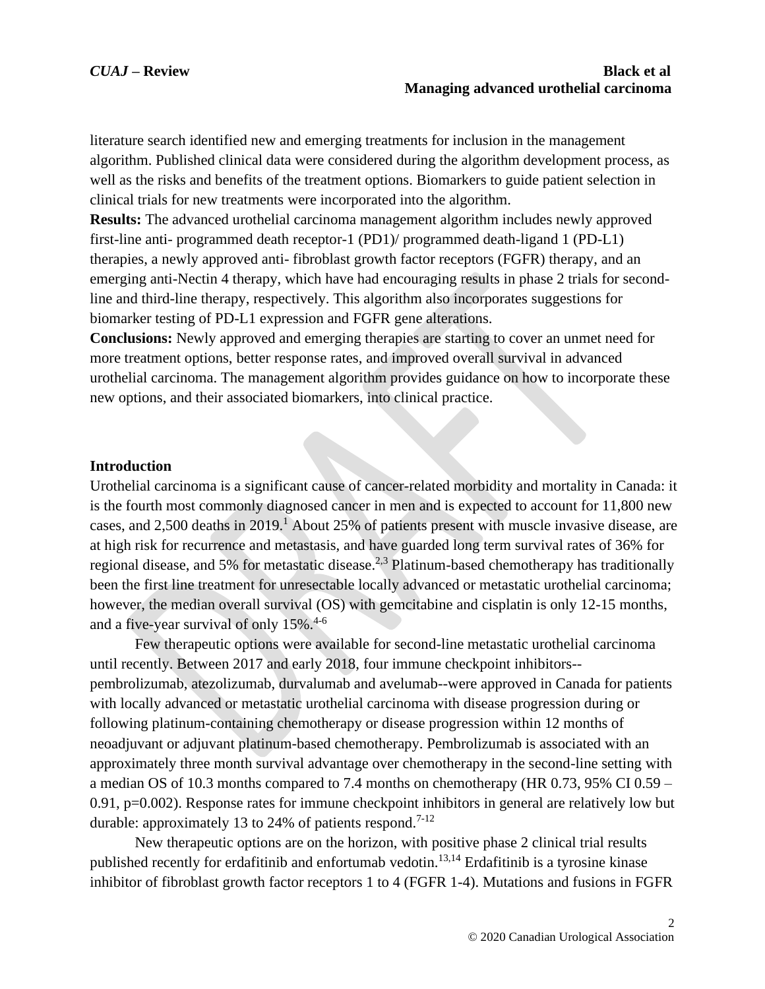literature search identified new and emerging treatments for inclusion in the management algorithm. Published clinical data were considered during the algorithm development process, as well as the risks and benefits of the treatment options. Biomarkers to guide patient selection in clinical trials for new treatments were incorporated into the algorithm.

**Results:** The advanced urothelial carcinoma management algorithm includes newly approved first-line anti- programmed death receptor-1 (PD1)/ programmed death-ligand 1 (PD-L1) therapies, a newly approved anti- fibroblast growth factor receptors (FGFR) therapy, and an emerging anti-Nectin 4 therapy, which have had encouraging results in phase 2 trials for secondline and third-line therapy, respectively. This algorithm also incorporates suggestions for biomarker testing of PD-L1 expression and FGFR gene alterations.

**Conclusions:** Newly approved and emerging therapies are starting to cover an unmet need for more treatment options, better response rates, and improved overall survival in advanced urothelial carcinoma. The management algorithm provides guidance on how to incorporate these new options, and their associated biomarkers, into clinical practice.

#### **Introduction**

Urothelial carcinoma is a significant cause of cancer-related morbidity and mortality in Canada: it is the fourth most commonly diagnosed cancer in men and is expected to account for 11,800 new cases, and 2,500 deaths in 2019. <sup>1</sup> About 25% of patients present with muscle invasive disease, are at high risk for recurrence and metastasis, and have guarded long term survival rates of 36% for regional disease, and 5% for metastatic disease.<sup>2,3</sup> Platinum-based chemotherapy has traditionally been the first line treatment for unresectable locally advanced or metastatic urothelial carcinoma; however, the median overall survival (OS) with gemcitabine and cisplatin is only 12-15 months, and a five-year survival of only 15%.<sup>4-6</sup>

Few therapeutic options were available for second-line metastatic urothelial carcinoma until recently. Between 2017 and early 2018, four immune checkpoint inhibitors- pembrolizumab, atezolizumab, durvalumab and avelumab--were approved in Canada for patients with locally advanced or metastatic urothelial carcinoma with disease progression during or following platinum-containing chemotherapy or disease progression within 12 months of neoadjuvant or adjuvant platinum-based chemotherapy. Pembrolizumab is associated with an approximately three month survival advantage over chemotherapy in the second-line setting with a median OS of 10.3 months compared to 7.4 months on chemotherapy (HR 0.73, 95% CI 0.59 – 0.91, p=0.002). Response rates for immune checkpoint inhibitors in general are relatively low but durable: approximately 13 to 24% of patients respond.<sup>7-12</sup>

New therapeutic options are on the horizon, with positive phase 2 clinical trial results published recently for erdafitinib and enfortumab vedotin.<sup>13,14</sup> Erdafitinib is a tyrosine kinase inhibitor of fibroblast growth factor receptors 1 to 4 (FGFR 1-4). Mutations and fusions in FGFR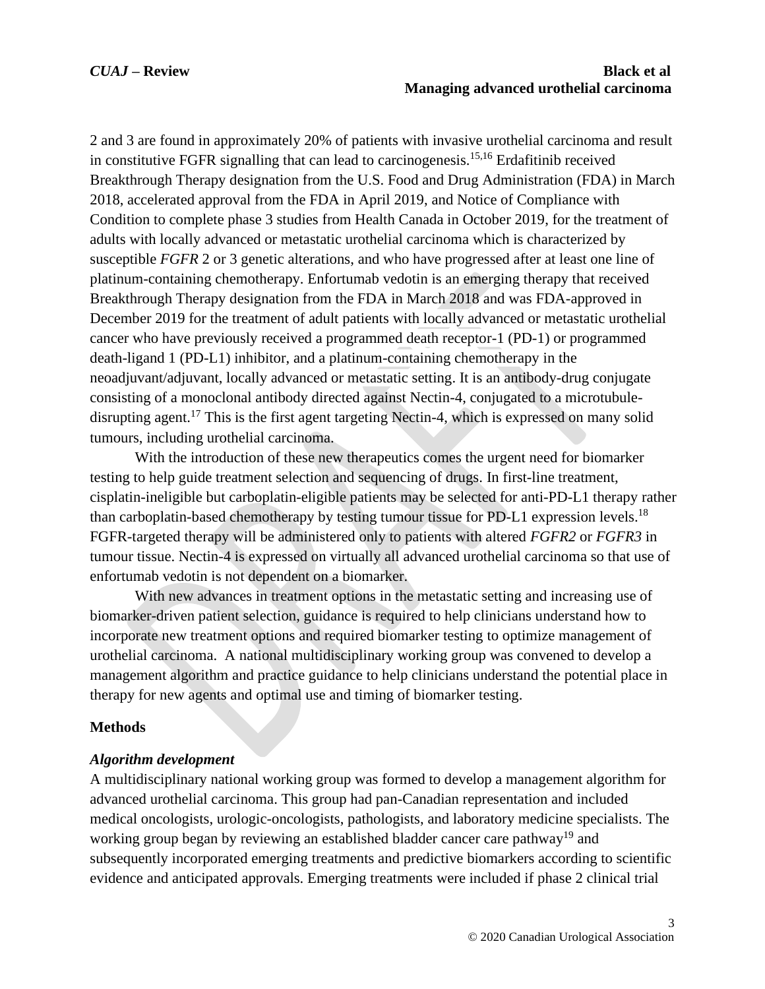### *CUAJ* **– Review Black et al Managing advanced urothelial carcinoma**

2 and 3 are found in approximately 20% of patients with invasive urothelial carcinoma and result in constitutive FGFR signalling that can lead to carcinogenesis. 15,16 Erdafitinib received Breakthrough Therapy designation from the U.S. Food and Drug Administration (FDA) in March 2018, accelerated approval from the FDA in April 2019, and Notice of Compliance with Condition to complete phase 3 studies from Health Canada in October 2019, for the treatment of adults with locally advanced or metastatic urothelial carcinoma which is characterized by susceptible *FGFR* 2 or 3 genetic alterations, and who have progressed after at least one line of platinum-containing chemotherapy. Enfortumab vedotin is an emerging therapy that received Breakthrough Therapy designation from the FDA in March 2018 and was FDA-approved in December 2019 for the treatment of adult patients with locally advanced or metastatic urothelial cancer who have previously received a programmed death receptor-1 (PD-1) or programmed death-ligand 1 (PD-L1) inhibitor, and a platinum-containing chemotherapy in the neoadjuvant/adjuvant, locally advanced or metastatic setting. It is an antibody-drug conjugate consisting of a monoclonal antibody directed against Nectin-4, conjugated to a microtubuledisrupting agent. <sup>17</sup> This is the first agent targeting Nectin-4, which is expressed on many solid tumours, including urothelial carcinoma.

With the introduction of these new therapeutics comes the urgent need for biomarker testing to help guide treatment selection and sequencing of drugs. In first-line treatment, cisplatin-ineligible but carboplatin-eligible patients may be selected for anti-PD-L1 therapy rather than carboplatin-based chemotherapy by testing tumour tissue for PD-L1 expression levels.<sup>18</sup> FGFR-targeted therapy will be administered only to patients with altered *FGFR2* or *FGFR3* in tumour tissue. Nectin-4 is expressed on virtually all advanced urothelial carcinoma so that use of enfortumab vedotin is not dependent on a biomarker.

With new advances in treatment options in the metastatic setting and increasing use of biomarker-driven patient selection, guidance is required to help clinicians understand how to incorporate new treatment options and required biomarker testing to optimize management of urothelial carcinoma. A national multidisciplinary working group was convened to develop a management algorithm and practice guidance to help clinicians understand the potential place in therapy for new agents and optimal use and timing of biomarker testing.

#### **Methods**

#### *Algorithm development*

A multidisciplinary national working group was formed to develop a management algorithm for advanced urothelial carcinoma. This group had pan-Canadian representation and included medical oncologists, urologic-oncologists, pathologists, and laboratory medicine specialists. The working group began by reviewing an established bladder cancer care pathway<sup>19</sup> and subsequently incorporated emerging treatments and predictive biomarkers according to scientific evidence and anticipated approvals. Emerging treatments were included if phase 2 clinical trial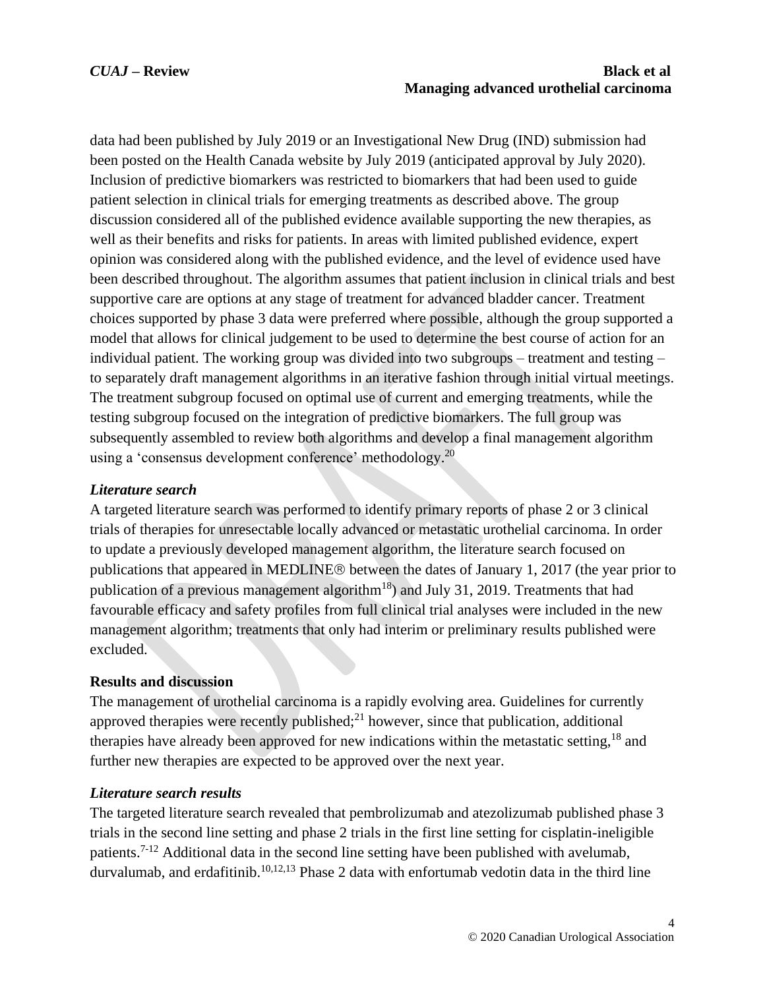data had been published by July 2019 or an Investigational New Drug (IND) submission had been posted on the Health Canada website by July 2019 (anticipated approval by July 2020). Inclusion of predictive biomarkers was restricted to biomarkers that had been used to guide patient selection in clinical trials for emerging treatments as described above. The group discussion considered all of the published evidence available supporting the new therapies, as well as their benefits and risks for patients. In areas with limited published evidence, expert opinion was considered along with the published evidence, and the level of evidence used have been described throughout. The algorithm assumes that patient inclusion in clinical trials and best supportive care are options at any stage of treatment for advanced bladder cancer. Treatment choices supported by phase 3 data were preferred where possible, although the group supported a model that allows for clinical judgement to be used to determine the best course of action for an individual patient. The working group was divided into two subgroups – treatment and testing – to separately draft management algorithms in an iterative fashion through initial virtual meetings. The treatment subgroup focused on optimal use of current and emerging treatments, while the testing subgroup focused on the integration of predictive biomarkers. The full group was subsequently assembled to review both algorithms and develop a final management algorithm using a 'consensus development conference' methodology.<sup>20</sup>

# *Literature search*

A targeted literature search was performed to identify primary reports of phase 2 or 3 clinical trials of therapies for unresectable locally advanced or metastatic urothelial carcinoma. In order to update a previously developed management algorithm, the literature search focused on publications that appeared in MEDLINE® between the dates of January 1, 2017 (the year prior to publication of a previous management algorithm<sup>18</sup>) and July 31, 2019. Treatments that had favourable efficacy and safety profiles from full clinical trial analyses were included in the new management algorithm; treatments that only had interim or preliminary results published were excluded.

## **Results and discussion**

The management of urothelial carcinoma is a rapidly evolving area. Guidelines for currently approved therapies were recently published; $^{21}$  however, since that publication, additional therapies have already been approved for new indications within the metastatic setting,<sup>18</sup> and further new therapies are expected to be approved over the next year.

# *Literature search results*

The targeted literature search revealed that pembrolizumab and atezolizumab published phase 3 trials in the second line setting and phase 2 trials in the first line setting for cisplatin-ineligible patients.<sup>7-12</sup> Additional data in the second line setting have been published with avelumab, durvalumab, and erdafitinib. 10,12,13 Phase 2 data with enfortumab vedotin data in the third line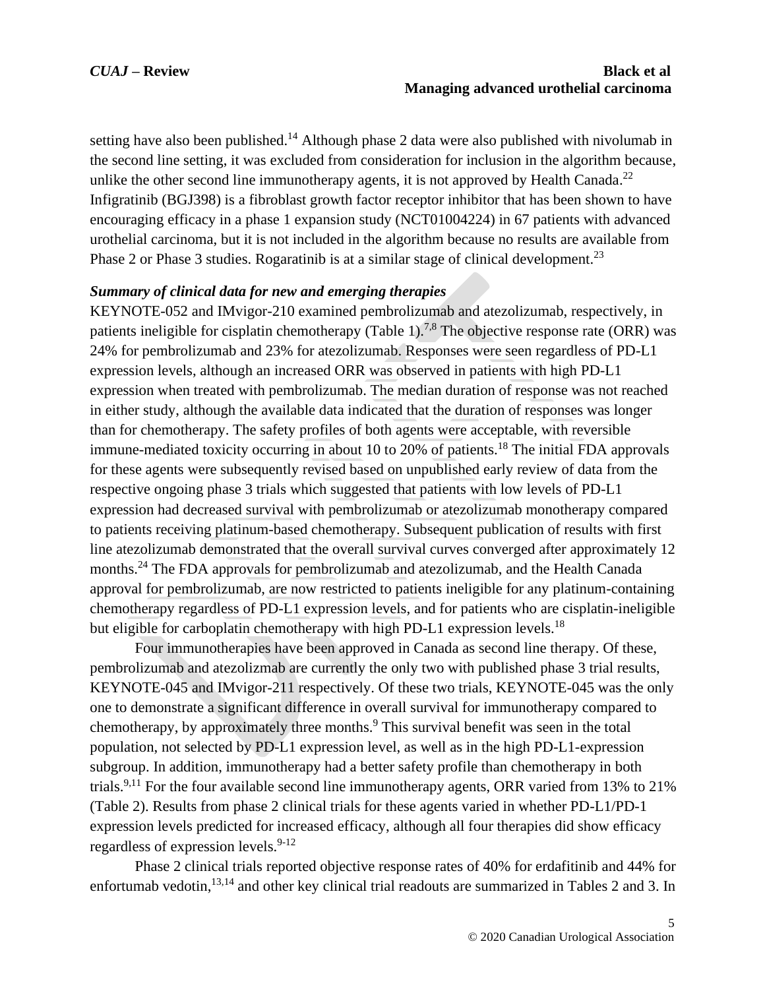setting have also been published.<sup>14</sup> Although phase 2 data were also published with nivolumab in the second line setting, it was excluded from consideration for inclusion in the algorithm because, unlike the other second line immunotherapy agents, it is not approved by Health Canada.<sup>22</sup> Infigratinib (BGJ398) is a fibroblast growth factor receptor inhibitor that has been shown to have encouraging efficacy in a phase 1 expansion study (NCT01004224) in 67 patients with advanced urothelial carcinoma, but it is not included in the algorithm because no results are available from Phase 2 or Phase 3 studies. Rogaratinib is at a similar stage of clinical development.<sup>23</sup>

### *Summary of clinical data for new and emerging therapies*

KEYNOTE-052 and IMvigor-210 examined pembrolizumab and atezolizumab, respectively, in patients ineligible for cisplatin chemotherapy (Table 1).<sup>7,8</sup> The objective response rate (ORR) was 24% for pembrolizumab and 23% for atezolizumab. Responses were seen regardless of PD-L1 expression levels, although an increased ORR was observed in patients with high PD-L1 expression when treated with pembrolizumab. The median duration of response was not reached in either study, although the available data indicated that the duration of responses was longer than for chemotherapy. The safety profiles of both agents were acceptable, with reversible immune-mediated toxicity occurring in about 10 to 20% of patients.<sup>18</sup> The initial FDA approvals for these agents were subsequently revised based on unpublished early review of data from the respective ongoing phase 3 trials which suggested that patients with low levels of PD-L1 expression had decreased survival with pembrolizumab or atezolizumab monotherapy compared to patients receiving platinum-based chemotherapy. Subsequent publication of results with first line atezolizumab demonstrated that the overall survival curves converged after approximately 12 months.<sup>24</sup> The FDA approvals for pembrolizumab and atezolizumab, and the Health Canada approval for pembrolizumab, are now restricted to patients ineligible for any platinum-containing chemotherapy regardless of PD-L1 expression levels, and for patients who are cisplatin-ineligible but eligible for carboplatin chemotherapy with high PD-L1 expression levels.<sup>18</sup>

Four immunotherapies have been approved in Canada as second line therapy. Of these, pembrolizumab and atezolizmab are currently the only two with published phase 3 trial results, KEYNOTE-045 and IMvigor-211 respectively. Of these two trials, KEYNOTE-045 was the only one to demonstrate a significant difference in overall survival for immunotherapy compared to chemotherapy, by approximately three months. <sup>9</sup> This survival benefit was seen in the total population, not selected by PD-L1 expression level, as well as in the high PD-L1-expression subgroup. In addition, immunotherapy had a better safety profile than chemotherapy in both trials.<sup>9,11</sup> For the four available second line immunotherapy agents, ORR varied from 13% to 21% (Table 2). Results from phase 2 clinical trials for these agents varied in whether PD-L1/PD-1 expression levels predicted for increased efficacy, although all four therapies did show efficacy regardless of expression levels. 9-12

Phase 2 clinical trials reported objective response rates of 40% for erdafitinib and 44% for enfortumab vedotin,<sup>13,14</sup> and other key clinical trial readouts are summarized in Tables 2 and 3. In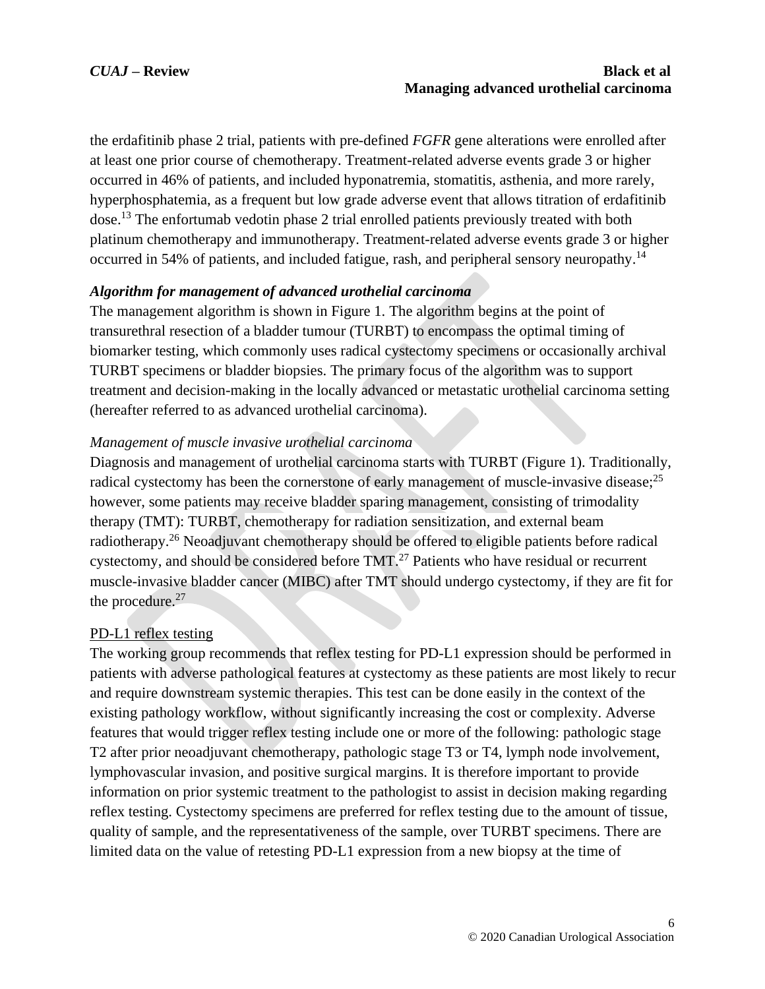the erdafitinib phase 2 trial, patients with pre-defined *FGFR* gene alterations were enrolled after at least one prior course of chemotherapy. Treatment-related adverse events grade 3 or higher occurred in 46% of patients, and included hyponatremia, stomatitis, asthenia, and more rarely, hyperphosphatemia, as a frequent but low grade adverse event that allows titration of erdafitinib dose. <sup>13</sup> The enfortumab vedotin phase 2 trial enrolled patients previously treated with both platinum chemotherapy and immunotherapy. Treatment-related adverse events grade 3 or higher occurred in 54% of patients, and included fatigue, rash, and peripheral sensory neuropathy.<sup>14</sup>

## *Algorithm for management of advanced urothelial carcinoma*

The management algorithm is shown in Figure 1. The algorithm begins at the point of transurethral resection of a bladder tumour (TURBT) to encompass the optimal timing of biomarker testing, which commonly uses radical cystectomy specimens or occasionally archival TURBT specimens or bladder biopsies. The primary focus of the algorithm was to support treatment and decision-making in the locally advanced or metastatic urothelial carcinoma setting (hereafter referred to as advanced urothelial carcinoma).

### *Management of muscle invasive urothelial carcinoma*

Diagnosis and management of urothelial carcinoma starts with TURBT (Figure 1). Traditionally, radical cystectomy has been the cornerstone of early management of muscle-invasive disease;<sup>25</sup> however, some patients may receive bladder sparing management, consisting of trimodality therapy (TMT): TURBT, chemotherapy for radiation sensitization, and external beam radiotherapy.<sup>26</sup> Neoadjuvant chemotherapy should be offered to eligible patients before radical cystectomy, and should be considered before TMT.<sup>27</sup> Patients who have residual or recurrent muscle-invasive bladder cancer (MIBC) after TMT should undergo cystectomy, if they are fit for the procedure.<sup>27</sup>

#### PD-L1 reflex testing

The working group recommends that reflex testing for PD-L1 expression should be performed in patients with adverse pathological features at cystectomy as these patients are most likely to recur and require downstream systemic therapies. This test can be done easily in the context of the existing pathology workflow, without significantly increasing the cost or complexity. Adverse features that would trigger reflex testing include one or more of the following: pathologic stage T2 after prior neoadjuvant chemotherapy, pathologic stage T3 or T4, lymph node involvement, lymphovascular invasion, and positive surgical margins. It is therefore important to provide information on prior systemic treatment to the pathologist to assist in decision making regarding reflex testing. Cystectomy specimens are preferred for reflex testing due to the amount of tissue, quality of sample, and the representativeness of the sample, over TURBT specimens. There are limited data on the value of retesting PD-L1 expression from a new biopsy at the time of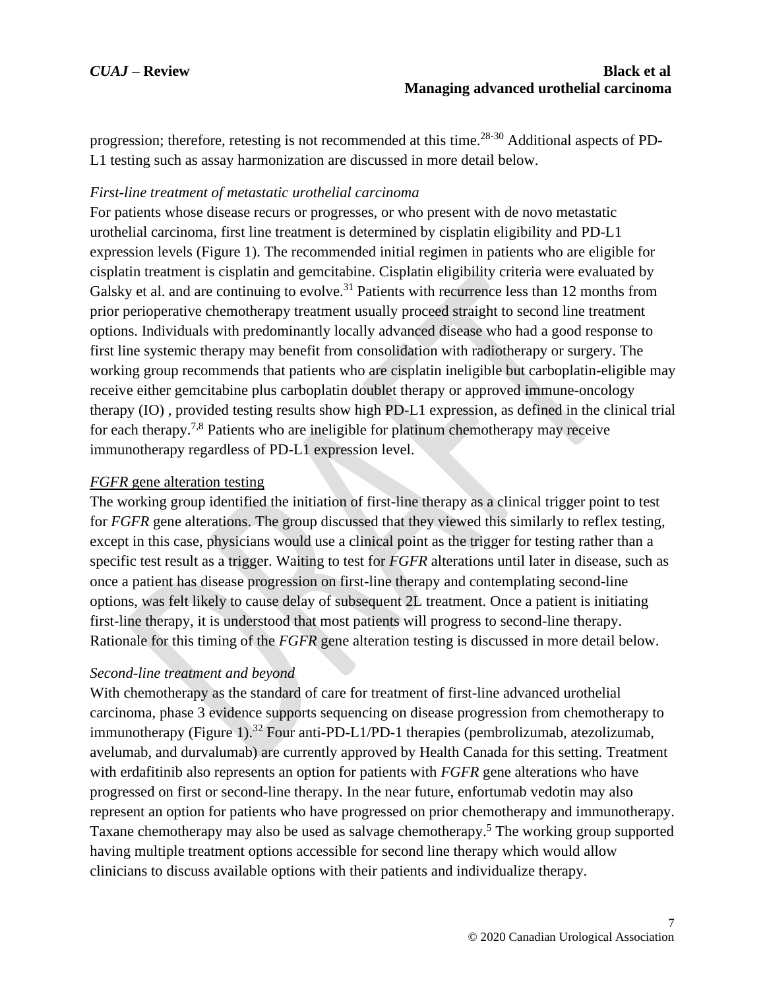progression; therefore, retesting is not recommended at this time.<sup>28-30</sup> Additional aspects of PD-L1 testing such as assay harmonization are discussed in more detail below.

### *First-line treatment of metastatic urothelial carcinoma*

For patients whose disease recurs or progresses, or who present with de novo metastatic urothelial carcinoma, first line treatment is determined by cisplatin eligibility and PD-L1 expression levels (Figure 1). The recommended initial regimen in patients who are eligible for cisplatin treatment is cisplatin and gemcitabine. Cisplatin eligibility criteria were evaluated by Galsky et al. and are continuing to evolve.<sup>31</sup> Patients with recurrence less than 12 months from prior perioperative chemotherapy treatment usually proceed straight to second line treatment options. Individuals with predominantly locally advanced disease who had a good response to first line systemic therapy may benefit from consolidation with radiotherapy or surgery. The working group recommends that patients who are cisplatin ineligible but carboplatin-eligible may receive either gemcitabine plus carboplatin doublet therapy or approved immune-oncology therapy (IO) , provided testing results show high PD-L1 expression, as defined in the clinical trial for each therapy.<sup>7,8</sup> Patients who are ineligible for platinum chemotherapy may receive immunotherapy regardless of PD-L1 expression level.

### *FGFR* gene alteration testing

The working group identified the initiation of first-line therapy as a clinical trigger point to test for *FGFR* gene alterations. The group discussed that they viewed this similarly to reflex testing, except in this case, physicians would use a clinical point as the trigger for testing rather than a specific test result as a trigger. Waiting to test for *FGFR* alterations until later in disease, such as once a patient has disease progression on first-line therapy and contemplating second-line options, was felt likely to cause delay of subsequent 2L treatment. Once a patient is initiating first-line therapy, it is understood that most patients will progress to second-line therapy. Rationale for this timing of the *FGFR* gene alteration testing is discussed in more detail below.

## *Second-line treatment and beyond*

With chemotherapy as the standard of care for treatment of first-line advanced urothelial carcinoma, phase 3 evidence supports sequencing on disease progression from chemotherapy to immunotherapy (Figure 1).<sup>32</sup> Four anti-PD-L1/PD-1 therapies (pembrolizumab, atezolizumab, avelumab, and durvalumab) are currently approved by Health Canada for this setting. Treatment with erdafitinib also represents an option for patients with *FGFR* gene alterations who have progressed on first or second-line therapy. In the near future, enfortumab vedotin may also represent an option for patients who have progressed on prior chemotherapy and immunotherapy. Taxane chemotherapy may also be used as salvage chemotherapy.<sup>5</sup> The working group supported having multiple treatment options accessible for second line therapy which would allow clinicians to discuss available options with their patients and individualize therapy.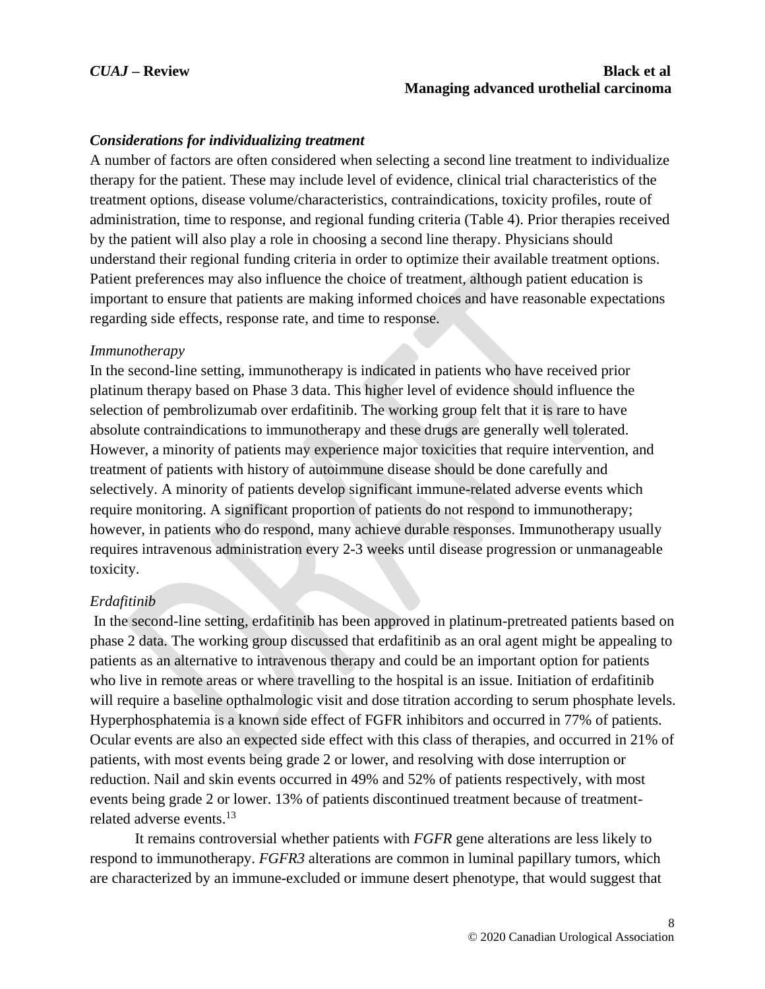#### *Considerations for individualizing treatment*

A number of factors are often considered when selecting a second line treatment to individualize therapy for the patient. These may include level of evidence, clinical trial characteristics of the treatment options, disease volume/characteristics, contraindications, toxicity profiles, route of administration, time to response, and regional funding criteria (Table 4). Prior therapies received by the patient will also play a role in choosing a second line therapy. Physicians should understand their regional funding criteria in order to optimize their available treatment options. Patient preferences may also influence the choice of treatment, although patient education is important to ensure that patients are making informed choices and have reasonable expectations regarding side effects, response rate, and time to response.

#### *Immunotherapy*

In the second-line setting, immunotherapy is indicated in patients who have received prior platinum therapy based on Phase 3 data. This higher level of evidence should influence the selection of pembrolizumab over erdafitinib. The working group felt that it is rare to have absolute contraindications to immunotherapy and these drugs are generally well tolerated. However, a minority of patients may experience major toxicities that require intervention, and treatment of patients with history of autoimmune disease should be done carefully and selectively. A minority of patients develop significant immune-related adverse events which require monitoring. A significant proportion of patients do not respond to immunotherapy; however, in patients who do respond, many achieve durable responses. Immunotherapy usually requires intravenous administration every 2-3 weeks until disease progression or unmanageable toxicity.

#### *Erdafitinib*

In the second-line setting, erdafitinib has been approved in platinum-pretreated patients based on phase 2 data. The working group discussed that erdafitinib as an oral agent might be appealing to patients as an alternative to intravenous therapy and could be an important option for patients who live in remote areas or where travelling to the hospital is an issue. Initiation of erdafitinib will require a baseline opthalmologic visit and dose titration according to serum phosphate levels. Hyperphosphatemia is a known side effect of FGFR inhibitors and occurred in 77% of patients. Ocular events are also an expected side effect with this class of therapies, and occurred in 21% of patients, with most events being grade 2 or lower, and resolving with dose interruption or reduction. Nail and skin events occurred in 49% and 52% of patients respectively, with most events being grade 2 or lower. 13% of patients discontinued treatment because of treatmentrelated adverse events.<sup>13</sup>

It remains controversial whether patients with *FGFR* gene alterations are less likely to respond to immunotherapy. *FGFR3* alterations are common in luminal papillary tumors, which are characterized by an immune-excluded or immune desert phenotype, that would suggest that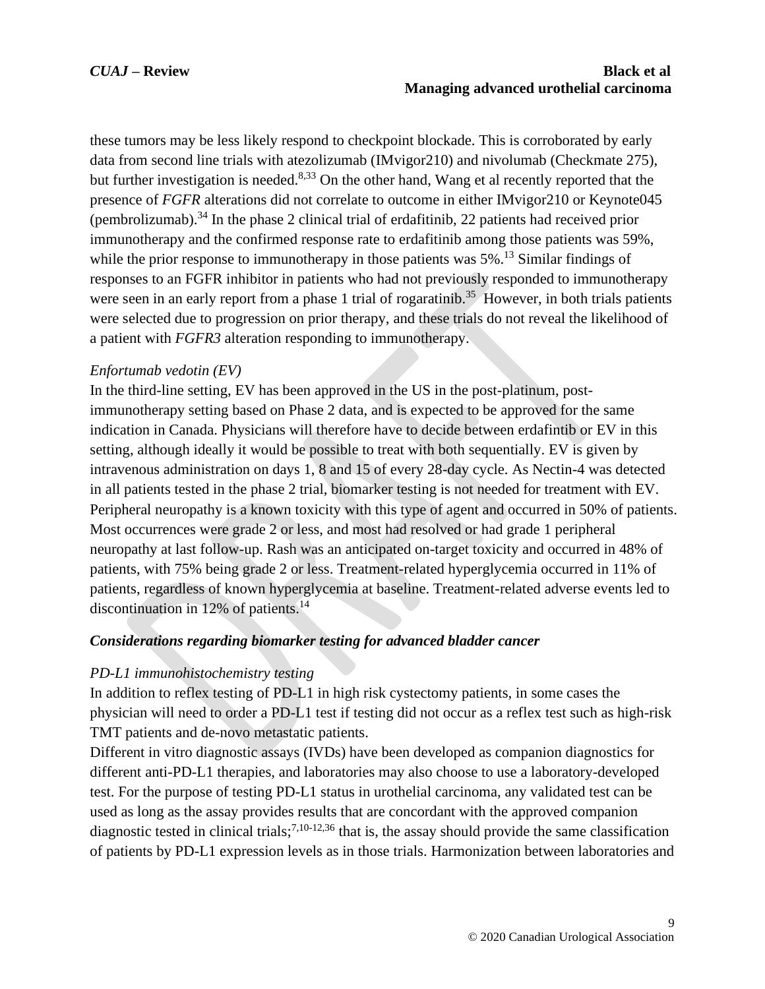these tumors may be less likely respond to checkpoint blockade. This is corroborated by early data from second line trials with atezolizumab (IMvigor210) and nivolumab (Checkmate 275), but further investigation is needed.<sup>8,33</sup> On the other hand, Wang et al recently reported that the presence of *FGFR* alterations did not correlate to outcome in either IMvigor210 or Keynote045 (pembrolizumab). <sup>34</sup> In the phase 2 clinical trial of erdafitinib, 22 patients had received prior immunotherapy and the confirmed response rate to erdafitinib among those patients was 59%, while the prior response to immunotherapy in those patients was  $5\%$ .<sup>13</sup> Similar findings of responses to an FGFR inhibitor in patients who had not previously responded to immunotherapy were seen in an early report from a phase 1 trial of rogaratinib.<sup>35</sup> However, in both trials patients were selected due to progression on prior therapy, and these trials do not reveal the likelihood of a patient with *FGFR3* alteration responding to immunotherapy.

# *Enfortumab vedotin (EV)*

In the third-line setting, EV has been approved in the US in the post-platinum, postimmunotherapy setting based on Phase 2 data, and is expected to be approved for the same indication in Canada. Physicians will therefore have to decide between erdafintib or EV in this setting, although ideally it would be possible to treat with both sequentially. EV is given by intravenous administration on days 1, 8 and 15 of every 28-day cycle. As Nectin-4 was detected in all patients tested in the phase 2 trial, biomarker testing is not needed for treatment with EV. Peripheral neuropathy is a known toxicity with this type of agent and occurred in 50% of patients. Most occurrences were grade 2 or less, and most had resolved or had grade 1 peripheral neuropathy at last follow-up. Rash was an anticipated on-target toxicity and occurred in 48% of patients, with 75% being grade 2 or less. Treatment-related hyperglycemia occurred in 11% of patients, regardless of known hyperglycemia at baseline. Treatment-related adverse events led to discontinuation in 12% of patients. 14

## *Considerations regarding biomarker testing for advanced bladder cancer*

## *PD-L1 immunohistochemistry testing*

In addition to reflex testing of PD-L1 in high risk cystectomy patients, in some cases the physician will need to order a PD-L1 test if testing did not occur as a reflex test such as high-risk TMT patients and de-novo metastatic patients.

Different in vitro diagnostic assays (IVDs) have been developed as companion diagnostics for different anti-PD-L1 therapies, and laboratories may also choose to use a laboratory-developed test. For the purpose of testing PD-L1 status in urothelial carcinoma, any validated test can be used as long as the assay provides results that are concordant with the approved companion diagnostic tested in clinical trials;<sup>7,10-12,36</sup> that is, the assay should provide the same classification of patients by PD-L1 expression levels as in those trials. Harmonization between laboratories and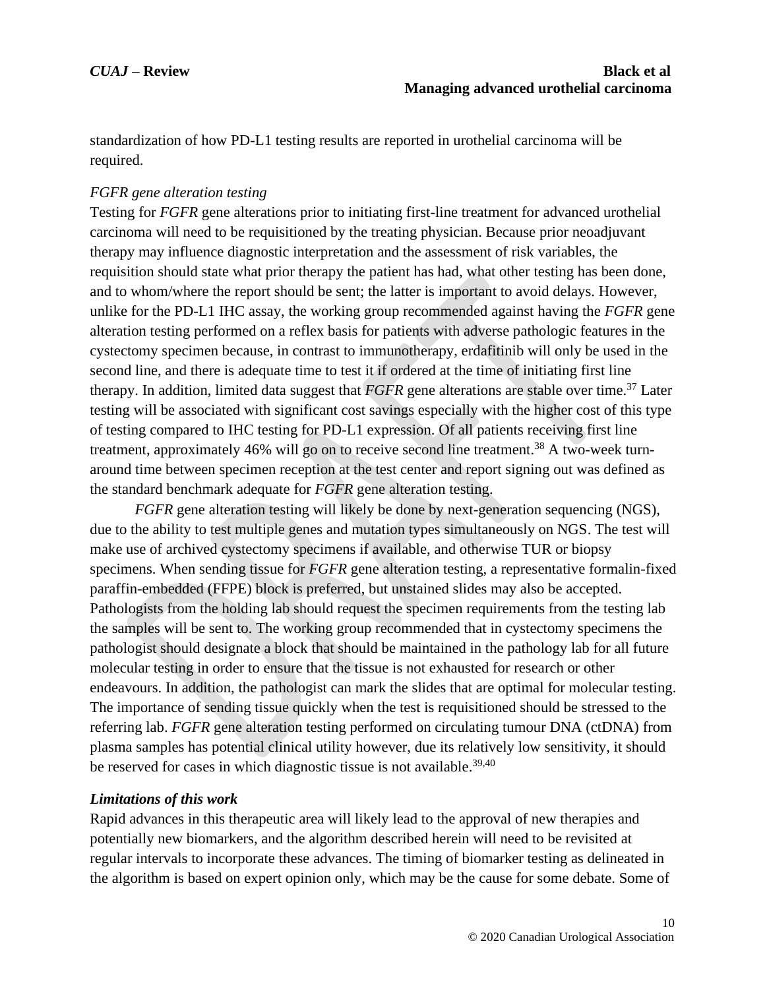standardization of how PD-L1 testing results are reported in urothelial carcinoma will be required.

## *FGFR gene alteration testing*

Testing for *FGFR* gene alterations prior to initiating first-line treatment for advanced urothelial carcinoma will need to be requisitioned by the treating physician. Because prior neoadjuvant therapy may influence diagnostic interpretation and the assessment of risk variables, the requisition should state what prior therapy the patient has had, what other testing has been done, and to whom/where the report should be sent; the latter is important to avoid delays. However, unlike for the PD-L1 IHC assay, the working group recommended against having the *FGFR* gene alteration testing performed on a reflex basis for patients with adverse pathologic features in the cystectomy specimen because, in contrast to immunotherapy, erdafitinib will only be used in the second line, and there is adequate time to test it if ordered at the time of initiating first line therapy. In addition, limited data suggest that *FGFR* gene alterations are stable over time. <sup>37</sup> Later testing will be associated with significant cost savings especially with the higher cost of this type of testing compared to IHC testing for PD-L1 expression. Of all patients receiving first line treatment, approximately 46% will go on to receive second line treatment.<sup>38</sup> A two-week turnaround time between specimen reception at the test center and report signing out was defined as the standard benchmark adequate for *FGFR* gene alteration testing.

*FGFR* gene alteration testing will likely be done by next-generation sequencing (NGS), due to the ability to test multiple genes and mutation types simultaneously on NGS. The test will make use of archived cystectomy specimens if available, and otherwise TUR or biopsy specimens. When sending tissue for *FGFR* gene alteration testing, a representative formalin-fixed paraffin-embedded (FFPE) block is preferred, but unstained slides may also be accepted. Pathologists from the holding lab should request the specimen requirements from the testing lab the samples will be sent to. The working group recommended that in cystectomy specimens the pathologist should designate a block that should be maintained in the pathology lab for all future molecular testing in order to ensure that the tissue is not exhausted for research or other endeavours. In addition, the pathologist can mark the slides that are optimal for molecular testing. The importance of sending tissue quickly when the test is requisitioned should be stressed to the referring lab. *FGFR* gene alteration testing performed on circulating tumour DNA (ctDNA) from plasma samples has potential clinical utility however, due its relatively low sensitivity, it should be reserved for cases in which diagnostic tissue is not available.<sup>39,40</sup>

## *Limitations of this work*

Rapid advances in this therapeutic area will likely lead to the approval of new therapies and potentially new biomarkers, and the algorithm described herein will need to be revisited at regular intervals to incorporate these advances. The timing of biomarker testing as delineated in the algorithm is based on expert opinion only, which may be the cause for some debate. Some of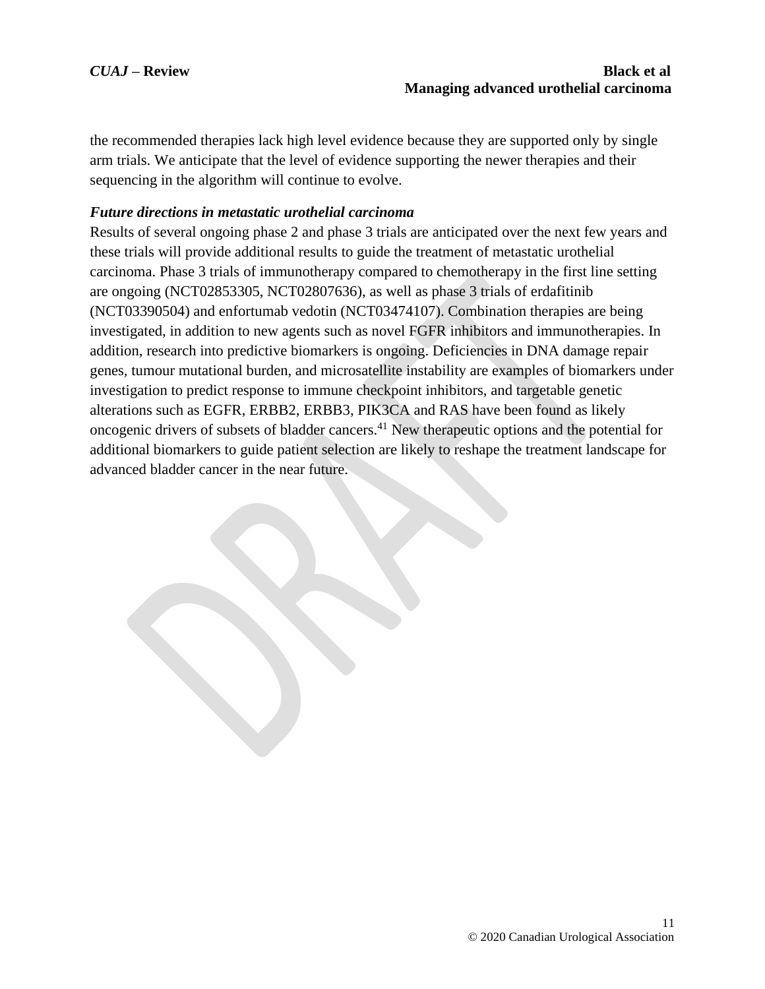the recommended therapies lack high level evidence because they are supported only by single arm trials. We anticipate that the level of evidence supporting the newer therapies and their sequencing in the algorithm will continue to evolve.

## *Future directions in metastatic urothelial carcinoma*

Results of several ongoing phase 2 and phase 3 trials are anticipated over the next few years and these trials will provide additional results to guide the treatment of metastatic urothelial carcinoma. Phase 3 trials of immunotherapy compared to chemotherapy in the first line setting are ongoing (NCT02853305, NCT02807636), as well as phase 3 trials of erdafitinib (NCT03390504) and enfortumab vedotin (NCT03474107). Combination therapies are being investigated, in addition to new agents such as novel FGFR inhibitors and immunotherapies. In addition, research into predictive biomarkers is ongoing. Deficiencies in DNA damage repair genes, tumour mutational burden, and microsatellite instability are examples of biomarkers under investigation to predict response to immune checkpoint inhibitors, and targetable genetic alterations such as EGFR, ERBB2, ERBB3, PIK3CA and RAS have been found as likely oncogenic drivers of subsets of bladder cancers.<sup>41</sup> New therapeutic options and the potential for additional biomarkers to guide patient selection are likely to reshape the treatment landscape for advanced bladder cancer in the near future.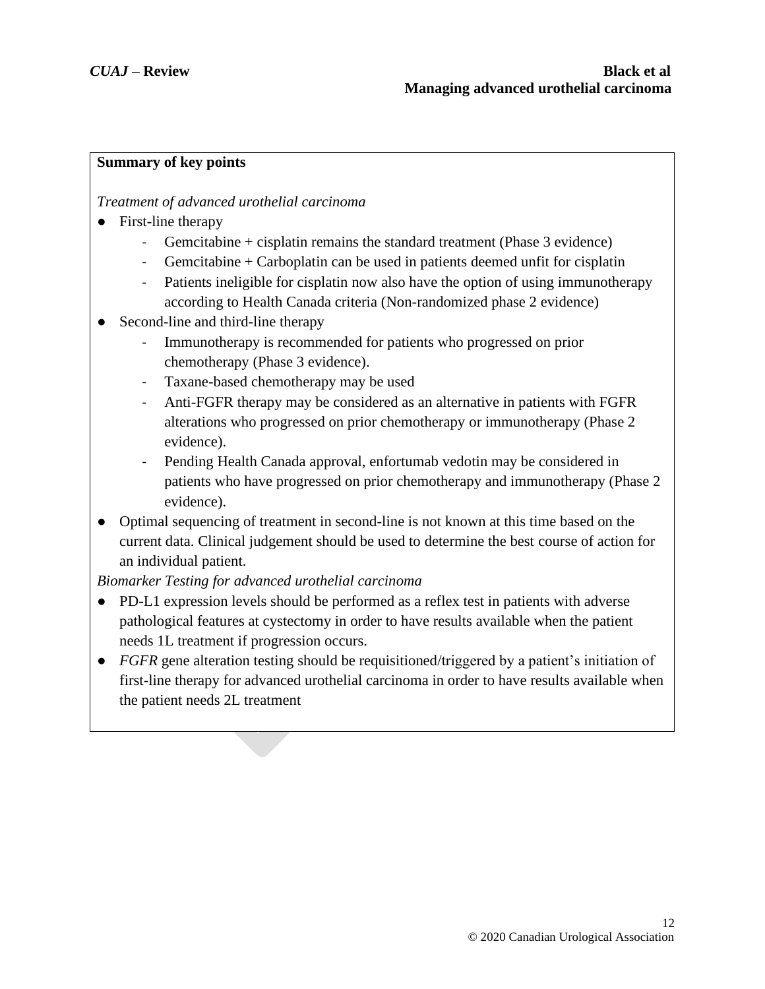## **Summary of key points**

## *Treatment of advanced urothelial carcinoma*

- First-line therapy
	- Gemcitabine  $+$  cisplatin remains the standard treatment (Phase 3 evidence)
	- $G$ emcitabine + Carboplatin can be used in patients deemed unfit for cisplatin
	- Patients ineligible for cisplatin now also have the option of using immunotherapy according to Health Canada criteria (Non-randomized phase 2 evidence)
- Second-line and third-line therapy
	- Immunotherapy is recommended for patients who progressed on prior chemotherapy (Phase 3 evidence).
	- Taxane-based chemotherapy may be used
	- Anti-FGFR therapy may be considered as an alternative in patients with FGFR alterations who progressed on prior chemotherapy or immunotherapy (Phase 2 evidence).
	- Pending Health Canada approval, enfortumab vedotin may be considered in patients who have progressed on prior chemotherapy and immunotherapy (Phase 2 evidence).
- Optimal sequencing of treatment in second-line is not known at this time based on the current data. Clinical judgement should be used to determine the best course of action for an individual patient.

# *Biomarker Testing for advanced urothelial carcinoma*

- PD-L1 expression levels should be performed as a reflex test in patients with adverse pathological features at cystectomy in order to have results available when the patient needs 1L treatment if progression occurs.
- *FGFR* gene alteration testing should be requisitioned/triggered by a patient's initiation of first-line therapy for advanced urothelial carcinoma in order to have results available when the patient needs 2L treatment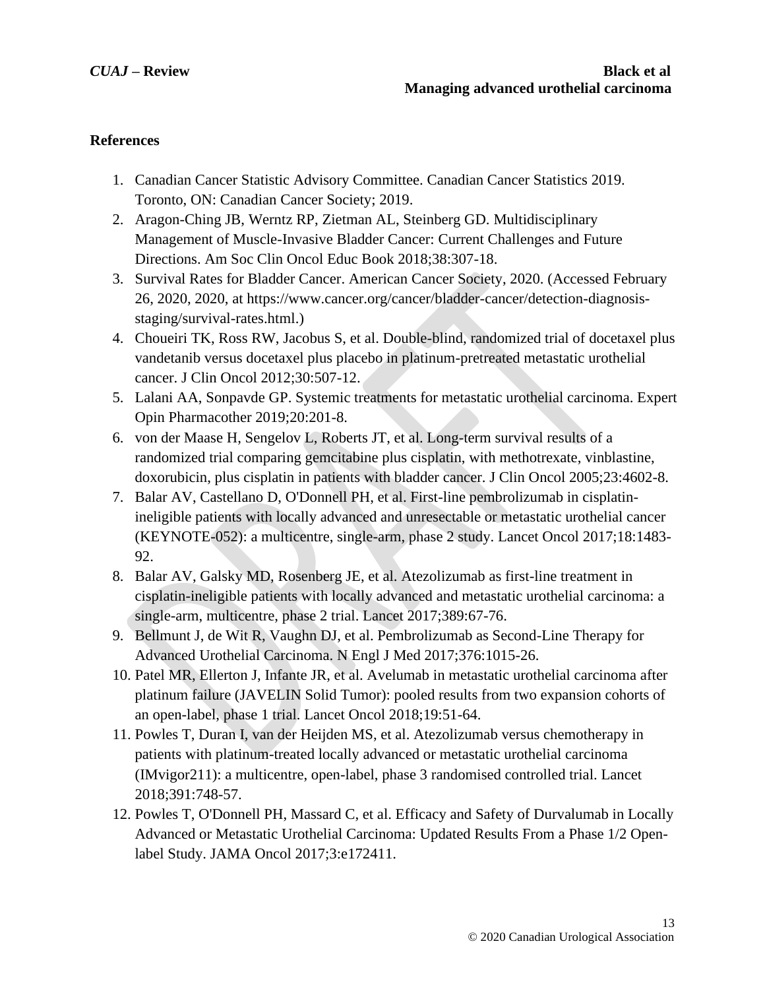## **References**

- 1. Canadian Cancer Statistic Advisory Committee. Canadian Cancer Statistics 2019. Toronto, ON: Canadian Cancer Society; 2019.
- 2. Aragon-Ching JB, Werntz RP, Zietman AL, Steinberg GD. Multidisciplinary Management of Muscle-Invasive Bladder Cancer: Current Challenges and Future Directions. Am Soc Clin Oncol Educ Book 2018;38:307-18.
- 3. Survival Rates for Bladder Cancer. American Cancer Society, 2020. (Accessed February 26, 2020, 2020, at https://www.cancer.org/cancer/bladder-cancer/detection-diagnosisstaging/survival-rates.html.)
- 4. Choueiri TK, Ross RW, Jacobus S, et al. Double-blind, randomized trial of docetaxel plus vandetanib versus docetaxel plus placebo in platinum-pretreated metastatic urothelial cancer. J Clin Oncol 2012;30:507-12.
- 5. Lalani AA, Sonpavde GP. Systemic treatments for metastatic urothelial carcinoma. Expert Opin Pharmacother 2019;20:201-8.
- 6. von der Maase H, Sengelov L, Roberts JT, et al. Long-term survival results of a randomized trial comparing gemcitabine plus cisplatin, with methotrexate, vinblastine, doxorubicin, plus cisplatin in patients with bladder cancer. J Clin Oncol 2005;23:4602-8.
- 7. Balar AV, Castellano D, O'Donnell PH, et al. First-line pembrolizumab in cisplatinineligible patients with locally advanced and unresectable or metastatic urothelial cancer (KEYNOTE-052): a multicentre, single-arm, phase 2 study. Lancet Oncol 2017;18:1483- 92.
- 8. Balar AV, Galsky MD, Rosenberg JE, et al. Atezolizumab as first-line treatment in cisplatin-ineligible patients with locally advanced and metastatic urothelial carcinoma: a single-arm, multicentre, phase 2 trial. Lancet 2017;389:67-76.
- 9. Bellmunt J, de Wit R, Vaughn DJ, et al. Pembrolizumab as Second-Line Therapy for Advanced Urothelial Carcinoma. N Engl J Med 2017;376:1015-26.
- 10. Patel MR, Ellerton J, Infante JR, et al. Avelumab in metastatic urothelial carcinoma after platinum failure (JAVELIN Solid Tumor): pooled results from two expansion cohorts of an open-label, phase 1 trial. Lancet Oncol 2018;19:51-64.
- 11. Powles T, Duran I, van der Heijden MS, et al. Atezolizumab versus chemotherapy in patients with platinum-treated locally advanced or metastatic urothelial carcinoma (IMvigor211): a multicentre, open-label, phase 3 randomised controlled trial. Lancet 2018;391:748-57.
- 12. Powles T, O'Donnell PH, Massard C, et al. Efficacy and Safety of Durvalumab in Locally Advanced or Metastatic Urothelial Carcinoma: Updated Results From a Phase 1/2 Openlabel Study. JAMA Oncol 2017;3:e172411.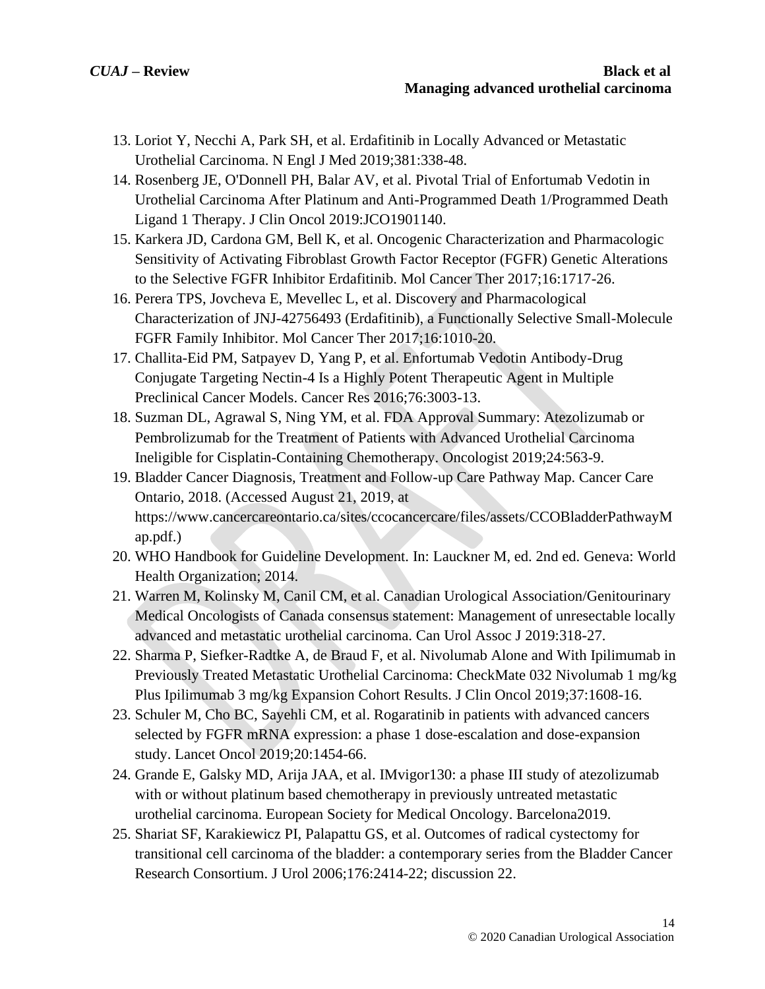- 13. Loriot Y, Necchi A, Park SH, et al. Erdafitinib in Locally Advanced or Metastatic Urothelial Carcinoma. N Engl J Med 2019;381:338-48.
- 14. Rosenberg JE, O'Donnell PH, Balar AV, et al. Pivotal Trial of Enfortumab Vedotin in Urothelial Carcinoma After Platinum and Anti-Programmed Death 1/Programmed Death Ligand 1 Therapy. J Clin Oncol 2019:JCO1901140.
- 15. Karkera JD, Cardona GM, Bell K, et al. Oncogenic Characterization and Pharmacologic Sensitivity of Activating Fibroblast Growth Factor Receptor (FGFR) Genetic Alterations to the Selective FGFR Inhibitor Erdafitinib. Mol Cancer Ther 2017;16:1717-26.
- 16. Perera TPS, Jovcheva E, Mevellec L, et al. Discovery and Pharmacological Characterization of JNJ-42756493 (Erdafitinib), a Functionally Selective Small-Molecule FGFR Family Inhibitor. Mol Cancer Ther 2017;16:1010-20.
- 17. Challita-Eid PM, Satpayev D, Yang P, et al. Enfortumab Vedotin Antibody-Drug Conjugate Targeting Nectin-4 Is a Highly Potent Therapeutic Agent in Multiple Preclinical Cancer Models. Cancer Res 2016;76:3003-13.
- 18. Suzman DL, Agrawal S, Ning YM, et al. FDA Approval Summary: Atezolizumab or Pembrolizumab for the Treatment of Patients with Advanced Urothelial Carcinoma Ineligible for Cisplatin-Containing Chemotherapy. Oncologist 2019;24:563-9.
- 19. Bladder Cancer Diagnosis, Treatment and Follow-up Care Pathway Map. Cancer Care Ontario, 2018. (Accessed August 21, 2019, at https://www.cancercareontario.ca/sites/ccocancercare/files/assets/CCOBladderPathwayM ap.pdf.)
- 20. WHO Handbook for Guideline Development. In: Lauckner M, ed. 2nd ed. Geneva: World Health Organization; 2014.
- 21. Warren M, Kolinsky M, Canil CM, et al. Canadian Urological Association/Genitourinary Medical Oncologists of Canada consensus statement: Management of unresectable locally advanced and metastatic urothelial carcinoma. Can Urol Assoc J 2019:318-27.
- 22. Sharma P, Siefker-Radtke A, de Braud F, et al. Nivolumab Alone and With Ipilimumab in Previously Treated Metastatic Urothelial Carcinoma: CheckMate 032 Nivolumab 1 mg/kg Plus Ipilimumab 3 mg/kg Expansion Cohort Results. J Clin Oncol 2019;37:1608-16.
- 23. Schuler M, Cho BC, Sayehli CM, et al. Rogaratinib in patients with advanced cancers selected by FGFR mRNA expression: a phase 1 dose-escalation and dose-expansion study. Lancet Oncol 2019;20:1454-66.
- 24. Grande E, Galsky MD, Arija JAA, et al. IMvigor130: a phase III study of atezolizumab with or without platinum based chemotherapy in previously untreated metastatic urothelial carcinoma. European Society for Medical Oncology. Barcelona2019.
- 25. Shariat SF, Karakiewicz PI, Palapattu GS, et al. Outcomes of radical cystectomy for transitional cell carcinoma of the bladder: a contemporary series from the Bladder Cancer Research Consortium. J Urol 2006;176:2414-22; discussion 22.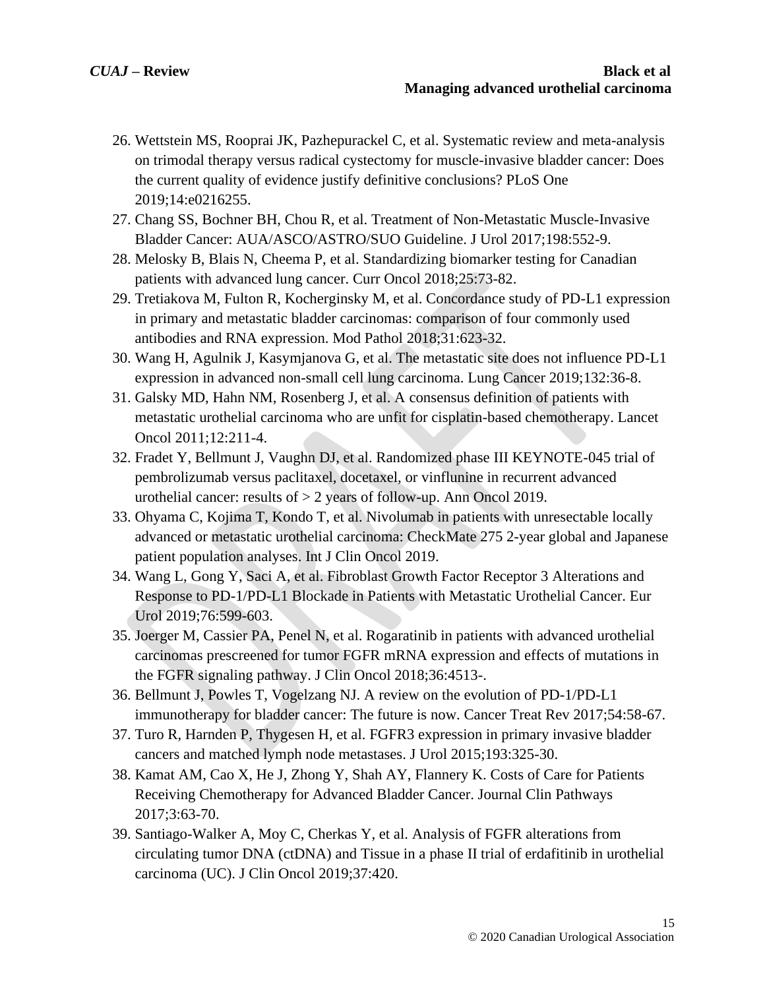- 26. Wettstein MS, Rooprai JK, Pazhepurackel C, et al. Systematic review and meta-analysis on trimodal therapy versus radical cystectomy for muscle-invasive bladder cancer: Does the current quality of evidence justify definitive conclusions? PLoS One 2019;14:e0216255.
- 27. Chang SS, Bochner BH, Chou R, et al. Treatment of Non-Metastatic Muscle-Invasive Bladder Cancer: AUA/ASCO/ASTRO/SUO Guideline. J Urol 2017;198:552-9.
- 28. Melosky B, Blais N, Cheema P, et al. Standardizing biomarker testing for Canadian patients with advanced lung cancer. Curr Oncol 2018;25:73-82.
- 29. Tretiakova M, Fulton R, Kocherginsky M, et al. Concordance study of PD-L1 expression in primary and metastatic bladder carcinomas: comparison of four commonly used antibodies and RNA expression. Mod Pathol 2018;31:623-32.
- 30. Wang H, Agulnik J, Kasymjanova G, et al. The metastatic site does not influence PD-L1 expression in advanced non-small cell lung carcinoma. Lung Cancer 2019;132:36-8.
- 31. Galsky MD, Hahn NM, Rosenberg J, et al. A consensus definition of patients with metastatic urothelial carcinoma who are unfit for cisplatin-based chemotherapy. Lancet Oncol 2011;12:211-4.
- 32. Fradet Y, Bellmunt J, Vaughn DJ, et al. Randomized phase III KEYNOTE-045 trial of pembrolizumab versus paclitaxel, docetaxel, or vinflunine in recurrent advanced urothelial cancer: results of  $> 2$  years of follow-up. Ann Oncol 2019.
- 33. Ohyama C, Kojima T, Kondo T, et al. Nivolumab in patients with unresectable locally advanced or metastatic urothelial carcinoma: CheckMate 275 2-year global and Japanese patient population analyses. Int J Clin Oncol 2019.
- 34. Wang L, Gong Y, Saci A, et al. Fibroblast Growth Factor Receptor 3 Alterations and Response to PD-1/PD-L1 Blockade in Patients with Metastatic Urothelial Cancer. Eur Urol 2019;76:599-603.
- 35. Joerger M, Cassier PA, Penel N, et al. Rogaratinib in patients with advanced urothelial carcinomas prescreened for tumor FGFR mRNA expression and effects of mutations in the FGFR signaling pathway. J Clin Oncol 2018;36:4513-.
- 36. Bellmunt J, Powles T, Vogelzang NJ. A review on the evolution of PD-1/PD-L1 immunotherapy for bladder cancer: The future is now. Cancer Treat Rev 2017;54:58-67.
- 37. Turo R, Harnden P, Thygesen H, et al. FGFR3 expression in primary invasive bladder cancers and matched lymph node metastases. J Urol 2015;193:325-30.
- 38. Kamat AM, Cao X, He J, Zhong Y, Shah AY, Flannery K. Costs of Care for Patients Receiving Chemotherapy for Advanced Bladder Cancer. Journal Clin Pathways 2017;3:63-70.
- 39. Santiago-Walker A, Moy C, Cherkas Y, et al. Analysis of FGFR alterations from circulating tumor DNA (ctDNA) and Tissue in a phase II trial of erdafitinib in urothelial carcinoma (UC). J Clin Oncol 2019;37:420.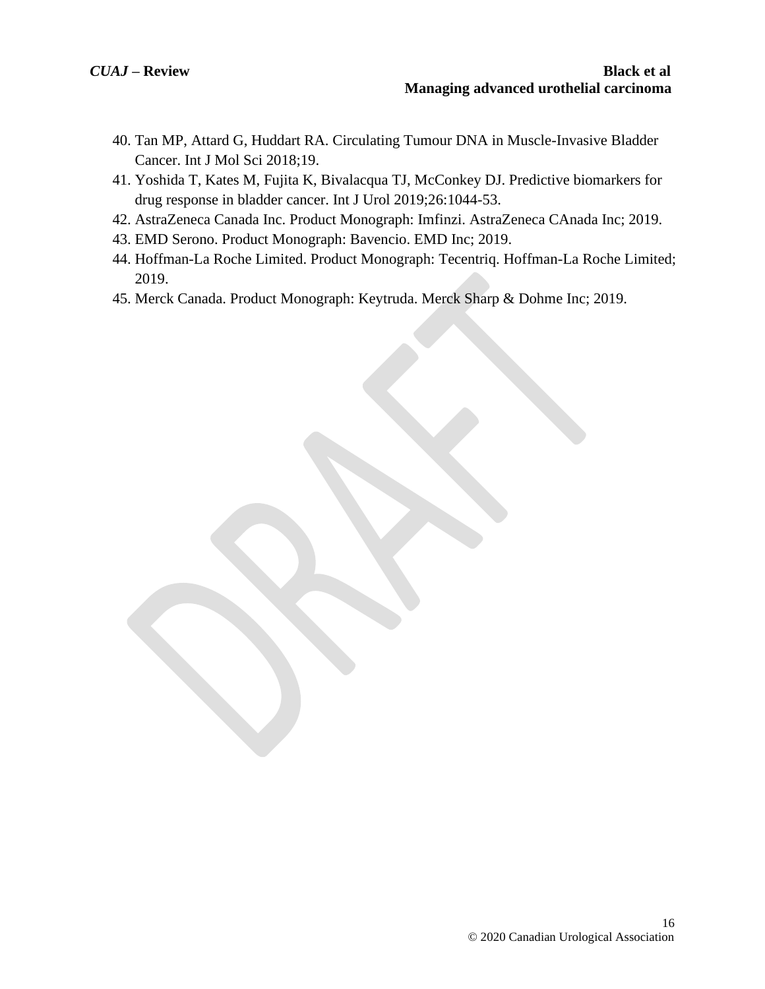- 40. Tan MP, Attard G, Huddart RA. Circulating Tumour DNA in Muscle-Invasive Bladder Cancer. Int J Mol Sci 2018;19.
- 41. Yoshida T, Kates M, Fujita K, Bivalacqua TJ, McConkey DJ. Predictive biomarkers for drug response in bladder cancer. Int J Urol 2019;26:1044-53.
- 42. AstraZeneca Canada Inc. Product Monograph: Imfinzi. AstraZeneca CAnada Inc; 2019.
- 43. EMD Serono. Product Monograph: Bavencio. EMD Inc; 2019.
- 44. Hoffman-La Roche Limited. Product Monograph: Tecentriq. Hoffman-La Roche Limited; 2019.
- 45. Merck Canada. Product Monograph: Keytruda. Merck Sharp & Dohme Inc; 2019.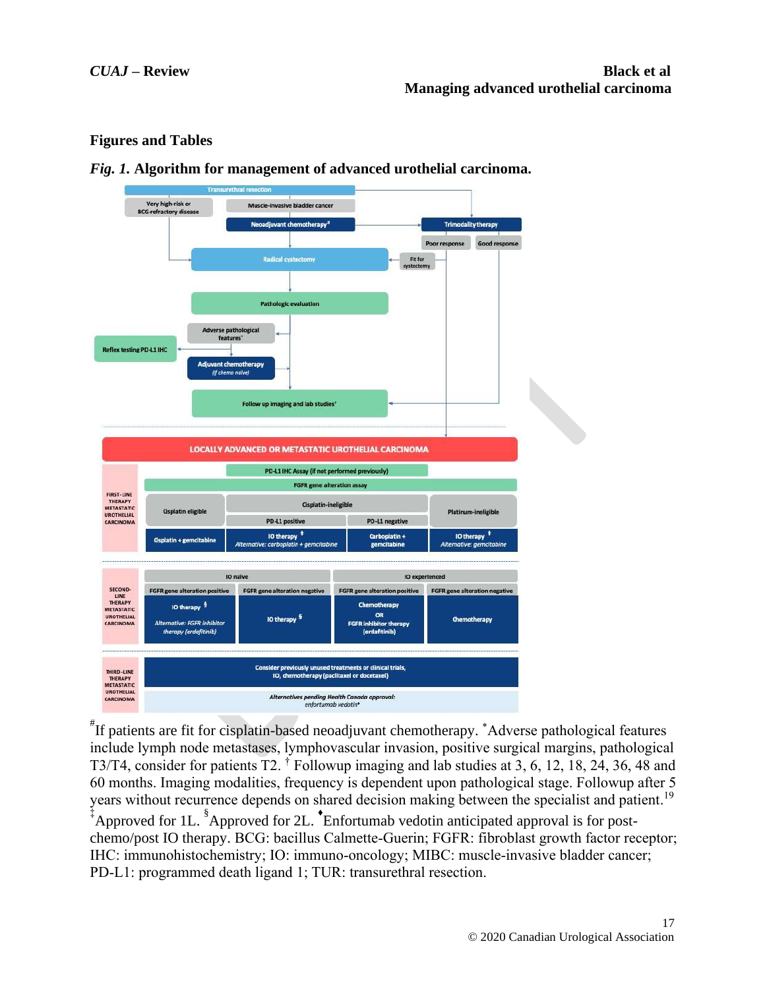#### **Figures and Tables**





# If patients are fit for cisplatin-based neoadjuvant chemotherapy. \*Adverse pathological features include lymph node metastases, lymphovascular invasion, positive surgical margins, pathological T3/T4, consider for patients T2. † Followup imaging and lab studies at 3, 6, 12, 18, 24, 36, 48 and 60 months. Imaging modalities, frequency is dependent upon pathological stage. Followup after 5 years without recurrence depends on shared decision making between the specialist and patient. 19

<sup>‡</sup>Approved for 1L. <sup>§</sup>Approved for 2L. <sup>◆</sup>Enfortumab vedotin anticipated approval is for postchemo/post IO therapy. BCG: bacillus Calmette-Guerin; FGFR: fibroblast growth factor receptor; IHC: immunohistochemistry; IO: immuno-oncology; MIBC: muscle-invasive bladder cancer; PD-L1: programmed death ligand 1; TUR: transurethral resection.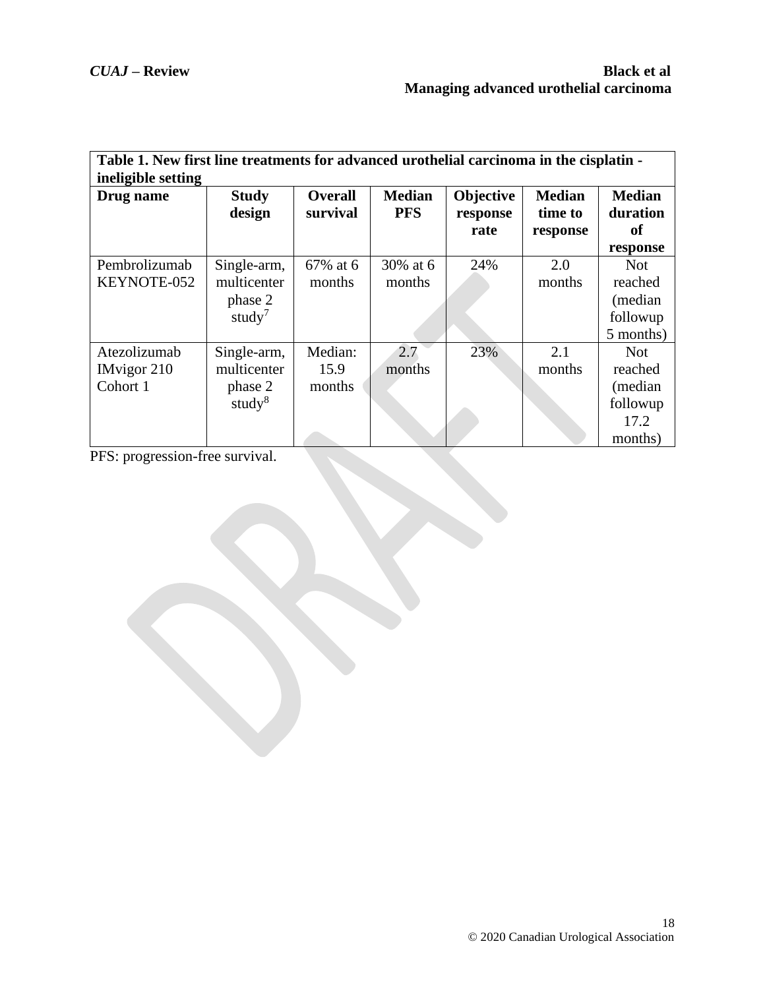| Table 1. New first line treatments for advanced urothelial carcinoma in the cisplatin - |                                                             |                            |                             |                               |                                      |                                                            |  |
|-----------------------------------------------------------------------------------------|-------------------------------------------------------------|----------------------------|-----------------------------|-------------------------------|--------------------------------------|------------------------------------------------------------|--|
| ineligible setting                                                                      |                                                             |                            |                             |                               |                                      |                                                            |  |
| Drug name                                                                               | <b>Study</b><br>design                                      | <b>Overall</b><br>survival | <b>Median</b><br><b>PFS</b> | Objective<br>response<br>rate | <b>Median</b><br>time to<br>response | <b>Median</b><br>duration<br>of                            |  |
|                                                                                         |                                                             |                            |                             |                               |                                      | response                                                   |  |
| Pembrolizumab<br>KEYNOTE-052                                                            | Single-arm,<br>multicenter<br>phase 2<br>study <sup>7</sup> | 67% at 6<br>months         | 30% at 6<br>months          | 24%                           | 2.0<br>months                        | <b>Not</b><br>reached<br>(median)<br>followup<br>5 months) |  |
| Atezolizumab                                                                            | Single-arm,                                                 | Median:                    | 2.7                         | 23%                           | 2.1                                  | <b>Not</b>                                                 |  |
| <b>IMvigor 210</b>                                                                      | multicenter                                                 | 15.9                       | months                      |                               | months                               | reached                                                    |  |
| Cohort 1                                                                                | phase 2                                                     | months                     |                             |                               |                                      | (median                                                    |  |
|                                                                                         | study $8$                                                   |                            |                             |                               |                                      | followup                                                   |  |
|                                                                                         |                                                             |                            |                             |                               |                                      | 17.2                                                       |  |
|                                                                                         |                                                             |                            |                             |                               |                                      | months)                                                    |  |

PFS: progression-free survival.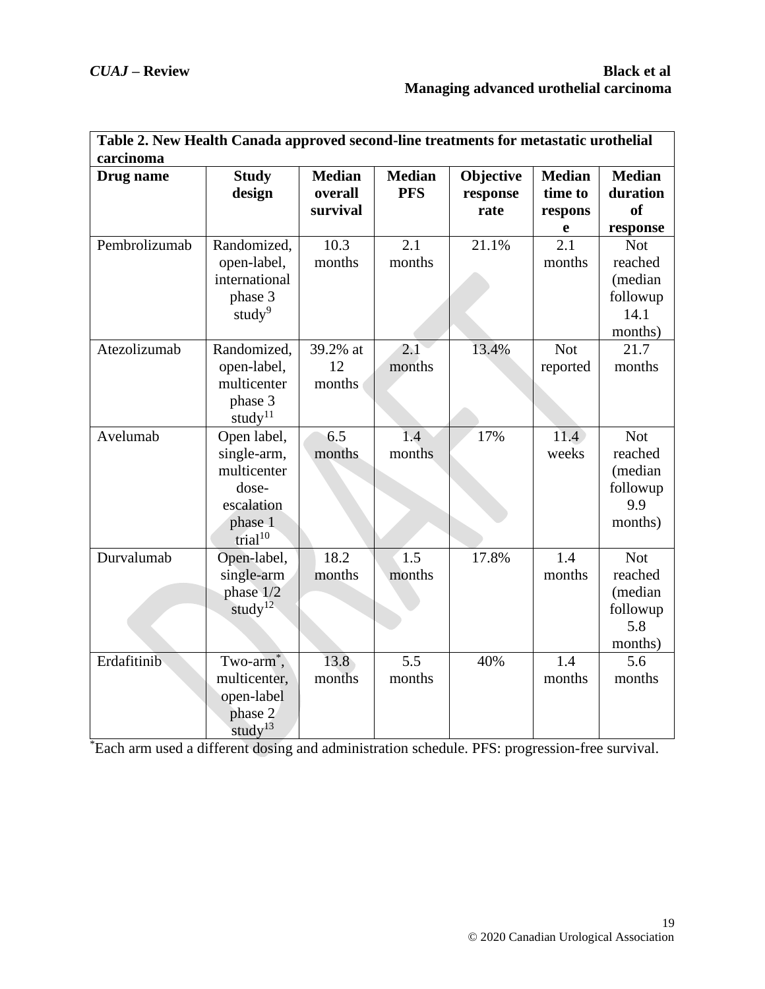| Table 2. New Health Canada approved second-line treatments for metastatic urothelial |                        |               |               |           |               |                 |  |
|--------------------------------------------------------------------------------------|------------------------|---------------|---------------|-----------|---------------|-----------------|--|
| carcinoma                                                                            |                        |               |               |           |               |                 |  |
| Drug name                                                                            | <b>Study</b>           | <b>Median</b> | <b>Median</b> | Objective | <b>Median</b> | <b>Median</b>   |  |
|                                                                                      | design                 | overall       | <b>PFS</b>    | response  | time to       | duration        |  |
|                                                                                      |                        | survival      |               | rate      | respons       | <b>of</b>       |  |
|                                                                                      |                        |               |               |           | e             | response        |  |
| Pembrolizumab                                                                        | Randomized,            | 10.3          | 2.1           | 21.1%     | 2.1           | <b>Not</b>      |  |
|                                                                                      | open-label,            | months        | months        |           | months        | reached         |  |
|                                                                                      | international          |               |               |           |               | (median         |  |
|                                                                                      | phase 3                |               |               |           |               | followup        |  |
|                                                                                      | study $9$              |               |               |           |               | 14.1            |  |
|                                                                                      |                        |               |               |           |               | months)         |  |
| Atezolizumab                                                                         | Randomized,            | 39.2% at      | 2.1           | 13.4%     | <b>Not</b>    | 21.7            |  |
|                                                                                      | open-label,            | 12            | months        |           | reported      | months          |  |
|                                                                                      | multicenter            | months        |               |           |               |                 |  |
|                                                                                      | phase 3                |               |               |           |               |                 |  |
|                                                                                      | study $^{11}$          |               |               |           |               |                 |  |
| Avelumab                                                                             | Open label,            | 6.5           | 1.4           | 17%       | 11.4          | <b>Not</b>      |  |
|                                                                                      | single-arm,            | months        | months        |           | weeks         | reached         |  |
|                                                                                      | multicenter            |               |               |           |               | (median         |  |
|                                                                                      | dose-                  |               |               |           |               | followup        |  |
|                                                                                      | escalation             |               |               |           |               | 9.9             |  |
|                                                                                      | phase 1                |               |               |           |               | months)         |  |
|                                                                                      | trial <sup>10</sup>    |               |               |           |               |                 |  |
| Durvalumab                                                                           | Open-label,            | 18.2          | 1.5           | 17.8%     | 1.4           | <b>Not</b>      |  |
|                                                                                      | single-arm             | months        | months        |           | months        | reached         |  |
|                                                                                      | phase 1/2              |               |               |           |               | (median         |  |
|                                                                                      | study $12$             |               |               |           |               | followup<br>5.8 |  |
|                                                                                      |                        |               |               |           |               |                 |  |
| Erdafitinib                                                                          | Two-arm <sup>*</sup> , | 13.8          | 5.5           | 40%       | 1.4           | months)<br>5.6  |  |
|                                                                                      | multicenter,           | months        | months        |           | months        | months          |  |
|                                                                                      | open-label             |               |               |           |               |                 |  |
|                                                                                      | phase 2                |               |               |           |               |                 |  |
|                                                                                      | study $13$             |               |               |           |               |                 |  |
|                                                                                      |                        |               |               |           |               |                 |  |

\*Each arm used a different dosing and administration schedule. PFS: progression-free survival.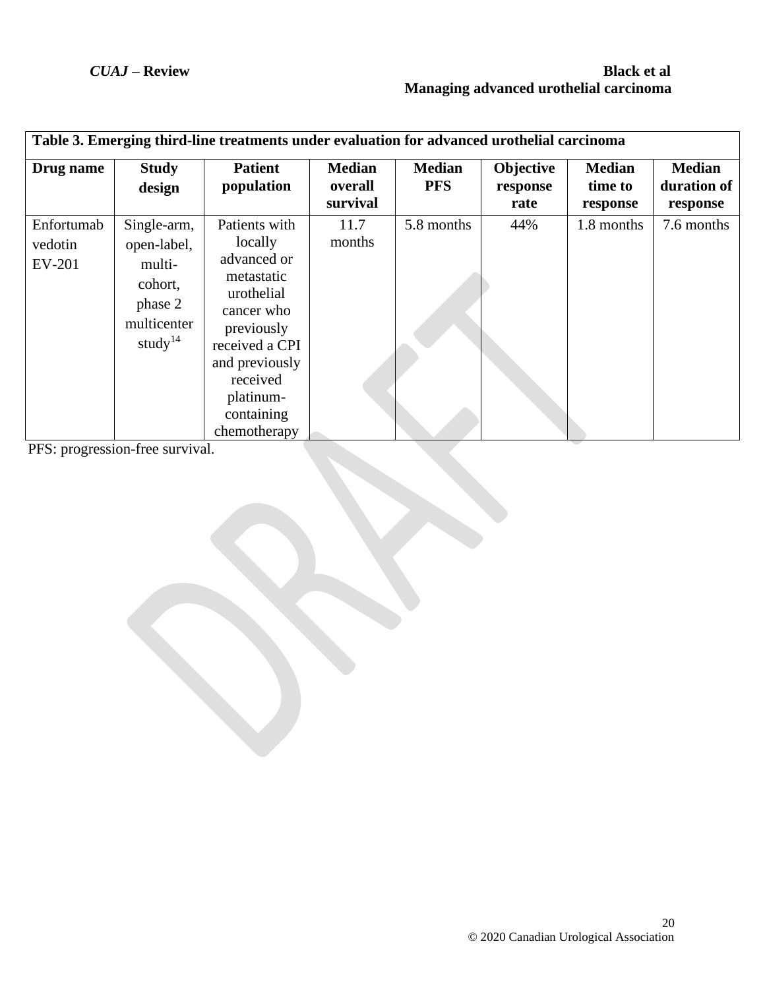| Table 3. Emerging third-line treatments under evaluation for advanced urothelial carcinoma |                                                                                         |                                                                                                                                                                                            |                                      |                             |                               |                                      |                                          |
|--------------------------------------------------------------------------------------------|-----------------------------------------------------------------------------------------|--------------------------------------------------------------------------------------------------------------------------------------------------------------------------------------------|--------------------------------------|-----------------------------|-------------------------------|--------------------------------------|------------------------------------------|
| Drug name                                                                                  | <b>Study</b><br>design                                                                  | <b>Patient</b><br>population                                                                                                                                                               | <b>Median</b><br>overall<br>survival | <b>Median</b><br><b>PFS</b> | Objective<br>response<br>rate | <b>Median</b><br>time to<br>response | <b>Median</b><br>duration of<br>response |
| Enfortumab<br>vedotin<br>EV-201                                                            | Single-arm,<br>open-label,<br>multi-<br>cohort,<br>phase 2<br>multicenter<br>study $14$ | Patients with<br>locally<br>advanced or<br>metastatic<br>urothelial<br>cancer who<br>previously<br>received a CPI<br>and previously<br>received<br>platinum-<br>containing<br>chemotherapy | 11.7<br>months                       | 5.8 months                  | 44%                           | 1.8 months                           | 7.6 months                               |

PFS: progression-free survival.